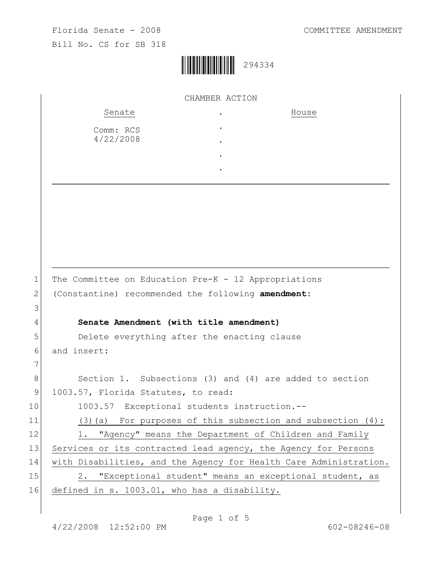

|          |                                                                | CHAMBER ACTION                                                    |
|----------|----------------------------------------------------------------|-------------------------------------------------------------------|
|          | Senate                                                         | House                                                             |
|          | Comm: RCS<br>4/22/2008                                         |                                                                   |
|          |                                                                |                                                                   |
|          |                                                                |                                                                   |
|          |                                                                |                                                                   |
|          |                                                                |                                                                   |
|          |                                                                |                                                                   |
|          |                                                                |                                                                   |
| 1        | The Committee on Education Pre-K - 12 Appropriations           |                                                                   |
| 2<br>3   | (Constantine) recommended the following amendment:             |                                                                   |
| 4        | Senate Amendment (with title amendment)                        |                                                                   |
| 5        | Delete everything after the enacting clause                    |                                                                   |
| 6        | and insert:                                                    |                                                                   |
| 7        |                                                                |                                                                   |
| 8        |                                                                | Section 1. Subsections (3) and (4) are added to section           |
| 9        | 1003.57, Florida Statutes, to read:                            |                                                                   |
| $10 \,$  | 1003.57 Exceptional students instruction.--                    |                                                                   |
| 11       |                                                                | (3) (a) For purposes of this subsection and subsection (4):       |
| 12       |                                                                | 1. "Agency" means the Department of Children and Family           |
|          | Services or its contracted lead agency, the Agency for Persons |                                                                   |
|          |                                                                |                                                                   |
| 13<br>14 |                                                                | with Disabilities, and the Agency for Health Care Administration. |
| 15       | 2.                                                             | "Exceptional student" means an exceptional student, as            |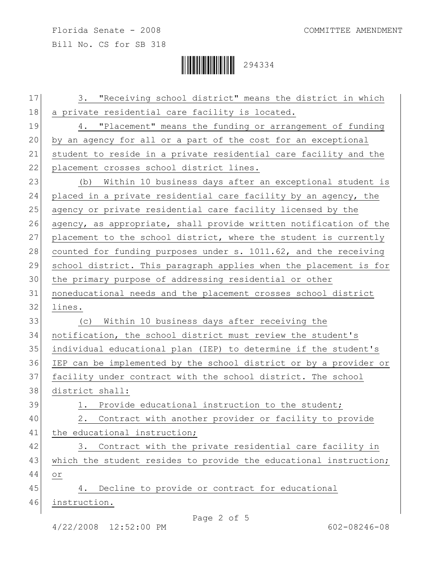Bill No. CS for SB 318



| 17 | 3. "Receiving school district" means the district in which        |
|----|-------------------------------------------------------------------|
| 18 | a private residential care facility is located.                   |
| 19 | 4. "Placement" means the funding or arrangement of funding        |
| 20 | by an agency for all or a part of the cost for an exceptional     |
| 21 | student to reside in a private residential care facility and the  |
| 22 | placement crosses school district lines.                          |
| 23 | (b) Within 10 business days after an exceptional student is       |
| 24 | placed in a private residential care facility by an agency, the   |
| 25 | agency or private residential care facility licensed by the       |
| 26 | agency, as appropriate, shall provide written notification of the |
| 27 | placement to the school district, where the student is currently  |
| 28 | counted for funding purposes under s. 1011.62, and the receiving  |
| 29 | school district. This paragraph applies when the placement is for |
| 30 | the primary purpose of addressing residential or other            |
| 31 | noneducational needs and the placement crosses school district    |
| 32 | lines.                                                            |
| 33 | Within 10 business days after receiving the<br>(C)                |
| 34 | notification, the school district must review the student's       |
| 35 | individual educational plan (IEP) to determine if the student's   |
| 36 | IEP can be implemented by the school district or by a provider or |
| 37 | facility under contract with the school district. The school      |
| 38 | district shall:                                                   |
| 39 | 1. Provide educational instruction to the student;                |
| 40 | Contract with another provider or facility to provide<br>2.       |
| 41 | the educational instruction;                                      |
| 42 | 3. Contract with the private residential care facility in         |
| 43 | which the student resides to provide the educational instruction; |
| 44 | or                                                                |
| 45 | Decline to provide or contract for educational<br>4.              |
| 46 | instruction.                                                      |
|    | Page 2 of 5                                                       |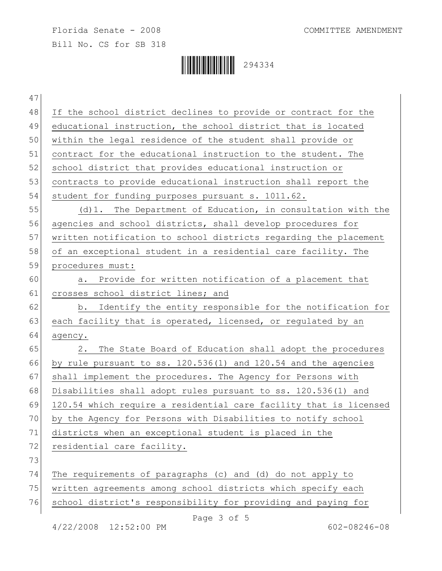Florida Senate - 2008 COMMITTEE AMENDMENT Bill No. CS for SB 318



| 47 |                                                                    |  |
|----|--------------------------------------------------------------------|--|
| 48 | If the school district declines to provide or contract for the     |  |
| 49 | educational instruction, the school district that is located       |  |
| 50 | within the legal residence of the student shall provide or         |  |
| 51 | contract for the educational instruction to the student. The       |  |
| 52 | school district that provides educational instruction or           |  |
| 53 | contracts to provide educational instruction shall report the      |  |
| 54 | student for funding purposes pursuant s. 1011.62.                  |  |
| 55 | (d) 1. The Department of Education, in consultation with the       |  |
| 56 | agencies and school districts, shall develop procedures for        |  |
| 57 | written notification to school districts regarding the placement   |  |
| 58 | of an exceptional student in a residential care facility. The      |  |
| 59 | procedures must:                                                   |  |
| 60 | Provide for written notification of a placement that<br>a.         |  |
| 61 | crosses school district lines; and                                 |  |
| 62 | Identify the entity responsible for the notification for<br>b.     |  |
| 63 | each facility that is operated, licensed, or regulated by an       |  |
| 64 | agency.                                                            |  |
| 65 | The State Board of Education shall adopt the procedures<br>2.      |  |
| 66 | by rule pursuant to ss. $120.536(1)$ and $120.54$ and the agencies |  |
| 67 | shall implement the procedures. The Agency for Persons with        |  |
| 68 | Disabilities shall adopt rules pursuant to ss. 120.536(1) and      |  |
| 69 | 120.54 which require a residential care facility that is licensed  |  |
| 70 | by the Agency for Persons with Disabilities to notify school       |  |
| 71 | districts when an exceptional student is placed in the             |  |
| 72 | residential care facility.                                         |  |
| 73 |                                                                    |  |
| 74 | The requirements of paragraphs (c) and (d) do not apply to         |  |
| 75 | written agreements among school districts which specify each       |  |
| 76 | school district's responsibility for providing and paying for      |  |
|    | Page 3 of 5                                                        |  |
|    | 4/22/2008 12:52:00 PM<br>$602 - 08246 - 08$                        |  |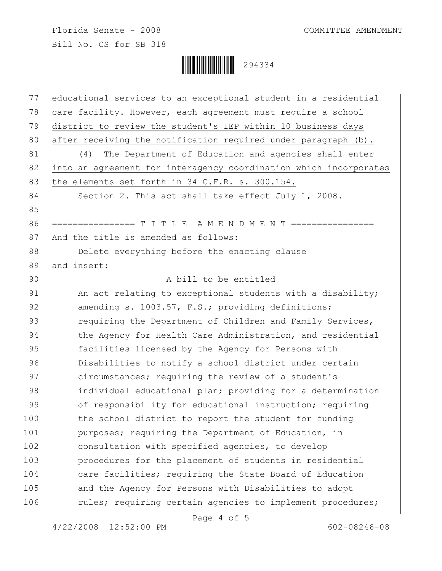Bill No. CS for SB 318



| 77  | educational services to an exceptional student in a residential   |
|-----|-------------------------------------------------------------------|
| 78  | care facility. However, each agreement must require a school      |
| 79  | district to review the student's IEP within 10 business days      |
| 80  | after receiving the notification required under paragraph (b).    |
| 81  | The Department of Education and agencies shall enter<br>(4)       |
| 82  | into an agreement for interagency coordination which incorporates |
| 83  | the elements set forth in 34 C.F.R. s. 300.154.                   |
| 84  | Section 2. This act shall take effect July 1, 2008.               |
| 85  |                                                                   |
| 86  | ================= T I T L E A M E N D M E N T                     |
| 87  | And the title is amended as follows:                              |
| 88  | Delete everything before the enacting clause                      |
| 89  | and insert:                                                       |
| 90  | A bill to be entitled                                             |
| 91  | An act relating to exceptional students with a disability;        |
| 92  | amending s. 1003.57, F.S.; providing definitions;                 |
| 93  | requiring the Department of Children and Family Services,         |
| 94  | the Agency for Health Care Administration, and residential        |
| 95  | facilities licensed by the Agency for Persons with                |
| 96  | Disabilities to notify a school district under certain            |
| 97  | circumstances; requiring the review of a student's                |
| 98  | individual educational plan; providing for a determination        |
| 99  | of responsibility for educational instruction; requiring          |
| 100 | the school district to report the student for funding             |
| 101 | purposes; requiring the Department of Education, in               |
| 102 | consultation with specified agencies, to develop                  |
| 103 | procedures for the placement of students in residential           |
| 104 | care facilities; requiring the State Board of Education           |
| 105 | and the Agency for Persons with Disabilities to adopt             |
| 106 | rules; requiring certain agencies to implement procedures;        |
|     |                                                                   |

Page 4 of 5